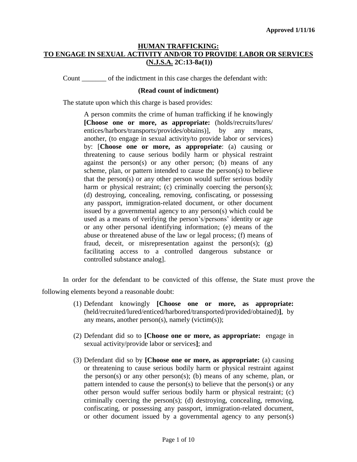Count of the indictment in this case charges the defendant with:

#### **(Read count of indictment)**

The statute upon which this charge is based provides:

A person commits the crime of human trafficking if he knowingly **[Choose one or more, as appropriate:** (holds/recruits/lures/ entices/harbors/transports/provides/obtains)], by any means, another, (to engage in sexual activity/to provide labor or services) by: [**Choose one or more, as appropriate**: (a) causing or threatening to cause serious bodily harm or physical restraint against the person(s) or any other person; (b) means of any scheme, plan, or pattern intended to cause the person(s) to believe that the person(s) or any other person would suffer serious bodily harm or physical restraint; (c) criminally coercing the person(s); (d) destroying, concealing, removing, confiscating, or possessing any passport, immigration-related document, or other document issued by a governmental agency to any person(s) which could be used as a means of verifying the person's/persons' identity or age or any other personal identifying information; (e) means of the abuse or threatened abuse of the law or legal process; (f) means of fraud, deceit, or misrepresentation against the person(s);  $(g)$ facilitating access to a controlled dangerous substance or controlled substance analog].

In order for the defendant to be convicted of this offense, the State must prove the following elements beyond a reasonable doubt:

- (1) Defendant knowingly **[Choose one or more, as appropriate:**  (held/recruited/lured/enticed/harbored/transported/provided/obtained)**]**, by any means, another person(s), namely (victim(s));
- (2) Defendant did so to **[Choose one or more, as appropriate:** engage in sexual activity/provide labor or services**]**; and
- (3) Defendant did so by **[Choose one or more, as appropriate:** (a) causing or threatening to cause serious bodily harm or physical restraint against the person(s) or any other person(s); (b) means of any scheme, plan, or pattern intended to cause the person(s) to believe that the person(s) or any other person would suffer serious bodily harm or physical restraint; (c) criminally coercing the person(s); (d) destroying, concealing, removing, confiscating, or possessing any passport, immigration-related document, or other document issued by a governmental agency to any person(s)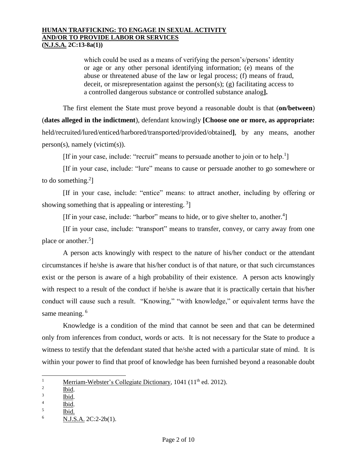which could be used as a means of verifying the person's/persons' identity or age or any other personal identifying information; (e) means of the abuse or threatened abuse of the law or legal process; (f) means of fraud, deceit, or misrepresentation against the person(s); (g) facilitating access to a controlled dangerous substance or controlled substance analog**].**

The first element the State must prove beyond a reasonable doubt is that (**on/between**) (**dates alleged in the indictment**), defendant knowingly **[Choose one or more, as appropriate:**  held/recruited/lured/enticed/harbored/transported/provided/obtained**]**, by any means, another person(s), namely (victim(s)).

[If in your case, include: "recruit" means to persuade another to join or to help.<sup>1</sup>]

[If in your case, include: "lure" means to cause or persuade another to go somewhere or to do something. $2$ ]

[If in your case, include: "entice" means: to attract another, including by offering or showing something that is appealing or interesting.<sup>3</sup>]

[If in your case, include: "harbor" means to hide, or to give shelter to, another.<sup>4</sup>]

[If in your case, include: "transport" means to transfer, convey, or carry away from one place or another.<sup>5</sup>]

A person acts knowingly with respect to the nature of his/her conduct or the attendant circumstances if he/she is aware that his/her conduct is of that nature, or that such circumstances exist or the person is aware of a high probability of their existence. A person acts knowingly with respect to a result of the conduct if he/she is aware that it is practically certain that his/her conduct will cause such a result. "Knowing," "with knowledge," or equivalent terms have the same meaning.<sup>6</sup>

Knowledge is a condition of the mind that cannot be seen and that can be determined only from inferences from conduct, words or acts. It is not necessary for the State to produce a witness to testify that the defendant stated that he/she acted with a particular state of mind. It is within your power to find that proof of knowledge has been furnished beyond a reasonable doubt

 $\overline{\phantom{a}}$ 

<sup>&</sup>lt;sup>1</sup> Merriam-Webster's Collegiate Dictionary, 1041 (11<sup>th</sup> ed. 2012).

<sup>2</sup> Ibid.

<sup>3</sup> Ibid.

<sup>4</sup> Ibid.

<sup>5</sup> Ibid.

 $^{6}$  N.J.S.A. 2C:2-2b(1).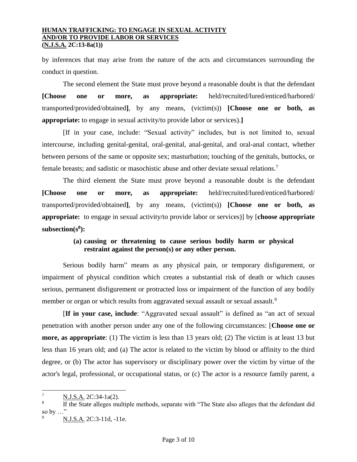by inferences that may arise from the nature of the acts and circumstances surrounding the conduct in question.

The second element the State must prove beyond a reasonable doubt is that the defendant **[Choose one or more, as appropriate:** held/recruited/lured/enticed/harbored/ transported/provided/obtained**]**, by any means, (victim(s)) **[Choose one or both, as appropriate:** to engage in sexual activity/to provide labor or services).**]**

[If in your case, include: "Sexual activity" includes, but is not limited to, sexual intercourse, including genital-genital, oral-genital, anal-genital, and oral-anal contact, whether between persons of the same or opposite sex; masturbation; touching of the genitals, buttocks, or female breasts; and sadistic or masochistic abuse and other deviate sexual relations.<sup>7</sup>

The third element the State must prove beyond a reasonable doubt is the defendant **[Choose one or more, as appropriate:** held/recruited/lured/enticed/harbored/ transported/provided/obtained**]**, by any means, (victim(s)) **[Choose one or both, as appropriate:** to engage in sexual activity/to provide labor or services)] by [**choose appropriate subsection(s<sup>8</sup> ):**

## **(a) causing or threatening to cause serious bodily harm or physical restraint against the person(s) or any other person.**

Serious bodily harm" means as any physical pain, or temporary disfigurement, or impairment of physical condition which creates a substantial risk of death or which causes serious, permanent disfigurement or protracted loss or impairment of the function of any bodily member or organ or which results from aggravated sexual assault or sexual assault.<sup>9</sup>

[**If in your case, include**: "Aggravated sexual assault" is defined as "an act of sexual penetration with another person under any one of the following circumstances: [**Choose one or more, as appropriate**: (1) The victim is less than 13 years old; (2) The victim is at least 13 but less than 16 years old; and (a) The actor is related to the victim by blood or affinity to the third degree, or (b) The actor has supervisory or disciplinary power over the victim by virtue of the actor's legal, professional, or occupational status, or (c) The actor is a resource family parent, a

l

<sup>&</sup>lt;sup>7</sup> N.J.S.A. 2C:34-1a(2).

<sup>8</sup> If the State alleges multiple methods, separate with "The State also alleges that the defendant did so by …" 9

N.J.S.A. 2C:3-11d, -11e.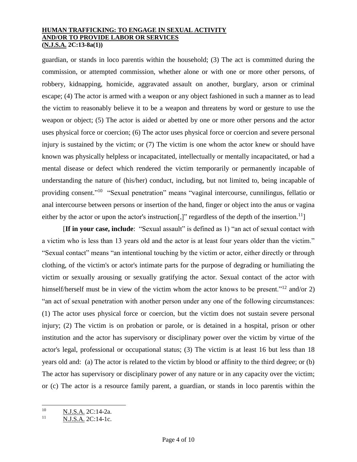guardian, or stands in loco parentis within the household; (3) The act is committed during the commission, or attempted commission, whether alone or with one or more other persons, of robbery, kidnapping, homicide, aggravated assault on another, burglary, arson or criminal escape; (4) The actor is armed with a weapon or any object fashioned in such a manner as to lead the victim to reasonably believe it to be a weapon and threatens by word or gesture to use the weapon or object; (5) The actor is aided or abetted by one or more other persons and the actor uses physical force or coercion; (6) The actor uses physical force or coercion and severe personal injury is sustained by the victim; or (7) The victim is one whom the actor knew or should have known was physically helpless or incapacitated, intellectually or mentally incapacitated, or had a mental disease or defect which rendered the victim temporarily or permanently incapable of understanding the nature of (his/her) conduct, including, but not limited to, being incapable of providing consent."<sup>10</sup> "Sexual penetration" means "vaginal intercourse, cunnilingus, fellatio or anal intercourse between persons or insertion of the hand, finger or object into the anus or vagina either by the actor or upon the actor's instruction[,]" regardless of the depth of the insertion.<sup>11</sup>]

[**If in your case, include**: "Sexual assault" is defined as 1) "an act of sexual contact with a victim who is less than 13 years old and the actor is at least four years older than the victim." "Sexual contact" means "an intentional touching by the victim or actor, either directly or through clothing, of the victim's or actor's intimate parts for the purpose of degrading or humiliating the victim or sexually arousing or sexually gratifying the actor. Sexual contact of the actor with himself/herself must be in view of the victim whom the actor knows to be present."<sup>12</sup> and/or 2) "an act of sexual penetration with another person under any one of the following circumstances: (1) The actor uses physical force or coercion, but the victim does not sustain severe personal injury; (2) The victim is on probation or parole, or is detained in a hospital, prison or other institution and the actor has supervisory or disciplinary power over the victim by virtue of the actor's legal, professional or occupational status; (3) The victim is at least 16 but less than 18 years old and: (a) The actor is related to the victim by blood or affinity to the third degree; or (b) The actor has supervisory or disciplinary power of any nature or in any capacity over the victim; or (c) The actor is a resource family parent, a guardian, or stands in loco parentis within the

 $10<sup>10</sup>$  $\frac{10}{11}$  N.J.S.A. 2C:14-2a.

N.J.S.A. 2C:14-1c.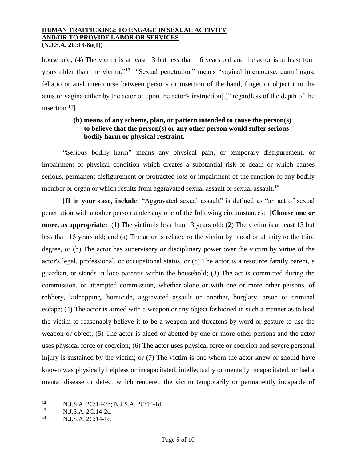household; (4) The victim is at least 13 but less than 16 years old and the actor is at least four years older than the victim."<sup>13</sup> "Sexual penetration" means "vaginal intercourse, cunnilingus, fellatio or anal intercourse between persons or insertion of the hand, finger or object into the anus or vagina either by the actor or upon the actor's instruction[,]" regardless of the depth of the insertion. $14$ ]

## **(b) means of any scheme, plan, or pattern intended to cause the person(s) to believe that the person(s) or any other person would suffer serious bodily harm or physical restraint.**

"Serious bodily harm" means any physical pain, or temporary disfigurement, or impairment of physical condition which creates a substantial risk of death or which causes serious, permanent disfigurement or protracted loss or impairment of the function of any bodily member or organ or which results from aggravated sexual assault or sexual assault.<sup>15</sup>

[**If in your case, include**: "Aggravated sexual assault" is defined as "an act of sexual penetration with another person under any one of the following circumstances: [**Choose one or more, as appropriate:** (1) The victim is less than 13 years old; (2) The victim is at least 13 but less than 16 years old; and (a) The actor is related to the victim by blood or affinity to the third degree, or (b) The actor has supervisory or disciplinary power over the victim by virtue of the actor's legal, professional, or occupational status, or (c) The actor is a resource family parent, a guardian, or stands in loco parentis within the household; (3) The act is committed during the commission, or attempted commission, whether alone or with one or more other persons, of robbery, kidnapping, homicide, aggravated assault on another, burglary, arson or criminal escape; (4) The actor is armed with a weapon or any object fashioned in such a manner as to lead the victim to reasonably believe it to be a weapon and threatens by word or gesture to use the weapon or object; (5) The actor is aided or abetted by one or more other persons and the actor uses physical force or coercion; (6) The actor uses physical force or coercion and severe personal injury is sustained by the victim; or (7) The victim is one whom the actor knew or should have known was physically helpless or incapacitated, intellectually or mentally incapacitated, or had a mental disease or defect which rendered the victim temporarily or permanently incapable of

 $12$  $\frac{12}{13}$  N.J.S.A. 2C:14-2b; N.J.S.A. 2C:14-1d.

 $\frac{N.J.S.A.}{N.I.S.A.}$  2C:14-2c.

N.J.S.A. 2C:14-1c.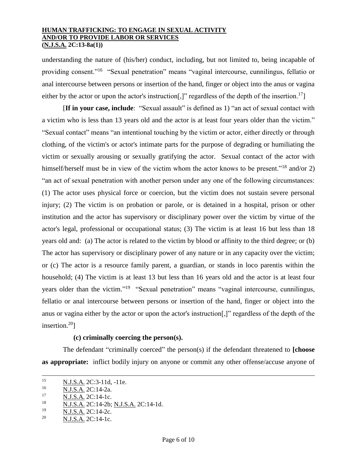understanding the nature of (his/her) conduct, including, but not limited to, being incapable of providing consent."<sup>16</sup> "Sexual penetration" means "vaginal intercourse, cunnilingus, fellatio or anal intercourse between persons or insertion of the hand, finger or object into the anus or vagina either by the actor or upon the actor's instruction[,]" regardless of the depth of the insertion.<sup>17</sup>]

[**If in your case, include**: "Sexual assault" is defined as 1) "an act of sexual contact with a victim who is less than 13 years old and the actor is at least four years older than the victim." "Sexual contact" means "an intentional touching by the victim or actor, either directly or through clothing, of the victim's or actor's intimate parts for the purpose of degrading or humiliating the victim or sexually arousing or sexually gratifying the actor. Sexual contact of the actor with himself/herself must be in view of the victim whom the actor knows to be present."<sup>18</sup> and/or 2) "an act of sexual penetration with another person under any one of the following circumstances: (1) The actor uses physical force or coercion, but the victim does not sustain severe personal injury; (2) The victim is on probation or parole, or is detained in a hospital, prison or other institution and the actor has supervisory or disciplinary power over the victim by virtue of the actor's legal, professional or occupational status; (3) The victim is at least 16 but less than 18 years old and: (a) The actor is related to the victim by blood or affinity to the third degree; or (b) The actor has supervisory or disciplinary power of any nature or in any capacity over the victim; or (c) The actor is a resource family parent, a guardian, or stands in loco parentis within the household; (4) The victim is at least 13 but less than 16 years old and the actor is at least four years older than the victim."<sup>19</sup> "Sexual penetration" means "vaginal intercourse, cunnilingus, fellatio or anal intercourse between persons or insertion of the hand, finger or object into the anus or vagina either by the actor or upon the actor's instruction[,]" regardless of the depth of the insertion.<sup>20</sup>]

### **(c) criminally coercing the person(s).**

The defendant "criminally coerced" the person(s) if the defendant threatened to **[choose as appropriate:** inflict bodily injury on anyone or commit any other offense/accuse anyone of

 $\overline{\phantom{a}}$ 

 $\frac{19}{20}$  N.J.S.A. 2C:14-2c.

<sup>15</sup> <sup>15</sup> N.J.S.A. 2C:3-11d, -11e.

N.J.S.A. 2C:14-2a.

<sup>&</sup>lt;sup>17</sup> N.J.S.A. 2C:14-1c.

 $\frac{18}{19}$  N.J.S.A. 2C:14-2b; N.J.S.A. 2C:14-1d.

N.J.S.A. 2C:14-1c.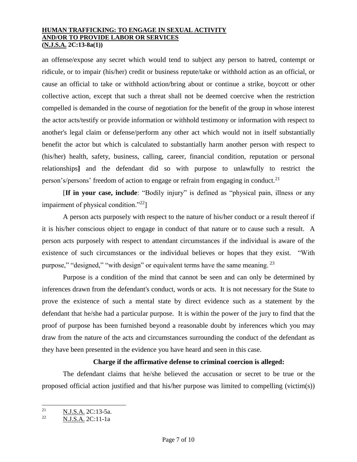an offense/expose any secret which would tend to subject any person to hatred, contempt or ridicule, or to impair (his/her) credit or business repute/take or withhold action as an official, or cause an official to take or withhold action/bring about or continue a strike, boycott or other collective action, except that such a threat shall not be deemed coercive when the restriction compelled is demanded in the course of negotiation for the benefit of the group in whose interest the actor acts/testify or provide information or withhold testimony or information with respect to another's legal claim or defense/perform any other act which would not in itself substantially benefit the actor but which is calculated to substantially harm another person with respect to (his/her) health, safety, business, calling, career, financial condition, reputation or personal relationships**]** and the defendant did so with purpose to unlawfully to restrict the person's/persons' freedom of action to engage or refrain from engaging in conduct.<sup>21</sup>

[**If in your case, include**: "Bodily injury" is defined as "physical pain, illness or any impairment of physical condition."<sup>22</sup>]

A person acts purposely with respect to the nature of his/her conduct or a result thereof if it is his/her conscious object to engage in conduct of that nature or to cause such a result. A person acts purposely with respect to attendant circumstances if the individual is aware of the existence of such circumstances or the individual believes or hopes that they exist. "With purpose," "designed," "with design" or equivalent terms have the same meaning. <sup>23</sup>

Purpose is a condition of the mind that cannot be seen and can only be determined by inferences drawn from the defendant's conduct, words or acts. It is not necessary for the State to prove the existence of such a mental state by direct evidence such as a statement by the defendant that he/she had a particular purpose. It is within the power of the jury to find that the proof of purpose has been furnished beyond a reasonable doubt by inferences which you may draw from the nature of the acts and circumstances surrounding the conduct of the defendant as they have been presented in the evidence you have heard and seen in this case.

### **Charge if the affirmative defense to criminal coercion is alleged:**

The defendant claims that he/she believed the accusation or secret to be true or the proposed official action justified and that his/her purpose was limited to compelling (victim(s))

 $\frac{1}{21}$  $rac{21}{22}$  N.J.S.A. 2C:13-5a.

<sup>22</sup> N.J.S.A. 2C:11-1a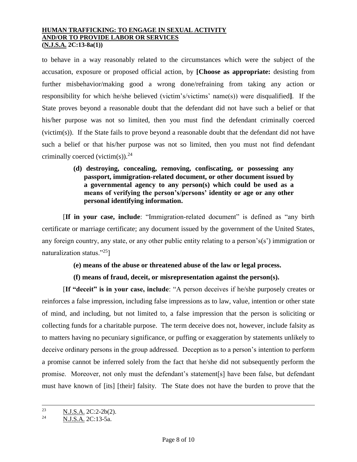to behave in a way reasonably related to the circumstances which were the subject of the accusation, exposure or proposed official action, by **[Choose as appropriate:** desisting from further misbehavior/making good a wrong done/refraining from taking any action or responsibility for which he/she believed (victim's/victims' name(s)) were disqualified**]**. If the State proves beyond a reasonable doubt that the defendant did not have such a belief or that his/her purpose was not so limited, then you must find the defendant criminally coerced (victim(s)). If the State fails to prove beyond a reasonable doubt that the defendant did not have such a belief or that his/her purpose was not so limited, then you must not find defendant criminally coerced (victim(s)).<sup>24</sup>

> **(d) destroying, concealing, removing, confiscating, or possessing any passport, immigration-related document, or other document issued by a governmental agency to any person(s) which could be used as a means of verifying the person's/persons' identity or age or any other personal identifying information.**

[**If in your case, include**: "Immigration-related document" is defined as "any birth certificate or marriage certificate; any document issued by the government of the United States, any foreign country, any state, or any other public entity relating to a person's(s') immigration or naturalization status."<sup>25</sup>]

## **(e) means of the abuse or threatened abuse of the law or legal process.**

## **(f) means of fraud, deceit, or misrepresentation against the person(s).**

[**If "deceit" is in your case, include**: "A person deceives if he/she purposely creates or reinforces a false impression, including false impressions as to law, value, intention or other state of mind, and including, but not limited to, a false impression that the person is soliciting or collecting funds for a charitable purpose. The term deceive does not, however, include falsity as to matters having no pecuniary significance, or puffing or exaggeration by statements unlikely to deceive ordinary persons in the group addressed. Deception as to a person's intention to perform a promise cannot be inferred solely from the fact that he/she did not subsequently perform the promise. Moreover, not only must the defendant's statement[s] have been false, but defendant must have known of [its] [their] falsity. The State does not have the burden to prove that the

 $23$ <sup>23</sup> N.J.S.A. 2C:2-2b(2).

<sup>24</sup> N.J.S.A. 2C:13-5a.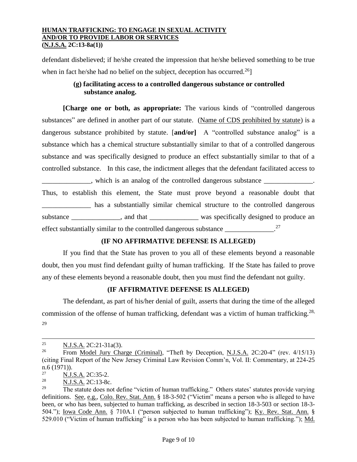defendant disbelieved; if he/she created the impression that he/she believed something to be true when in fact he/she had no belief on the subject, deception has occurred.<sup>26</sup>

## **(g) facilitating access to a controlled dangerous substance or controlled substance analog.**

**[Charge one or both, as appropriate:** The various kinds of "controlled dangerous substances" are defined in another part of our statute. (Name of CDS prohibited by statute) is a dangerous substance prohibited by statute. [**and/or]** A "controlled substance analog" is a substance which has a chemical structure substantially similar to that of a controlled dangerous substance and was specifically designed to produce an effect substantially similar to that of a controlled substance. In this case, the indictment alleges that the defendant facilitated access to

 $\Box$ , which is an analog of the controlled dangerous substance  $\Box$ Thus, to establish this element, the State must prove beyond a reasonable doubt that has a substantially similar chemical structure to the controlled dangerous substance \_\_\_\_\_\_\_\_\_\_\_\_, and that \_\_\_\_\_\_\_\_\_\_\_\_\_\_\_\_ was specifically designed to produce an effect substantially similar to the controlled dangerous substance \_\_\_\_\_\_\_\_\_\_\_\_\_\_\_\_\_\_\_. 27

# **(IF NO AFFIRMATIVE DEFENSE IS ALLEGED)**

If you find that the State has proven to you all of these elements beyond a reasonable doubt, then you must find defendant guilty of human trafficking. If the State has failed to prove any of these elements beyond a reasonable doubt, then you must find the defendant not guilty.

# **(IF AFFIRMATIVE DEFENSE IS ALLEGED)**

The defendant, as part of his/her denial of guilt, asserts that during the time of the alleged commission of the offense of human trafficking, defendant was a victim of human trafficking.<sup>28,</sup> 29

 $\overline{a}$ 

<sup>&</sup>lt;sup>25</sup> N.J.S.A. 2C:21-31a(3).

<sup>&</sup>lt;sup>26</sup> From Model Jury Charge (Criminal), "Theft by Deception, N.J.S.A. 2C:20-4" (rev. 4/15/13) (citing Final Report of the New Jersey Criminal Law Revision Comm'n, Vol. II: Commentary, at 224-25  $n.6$  (1971)).<br>27

 $\frac{27}{28}$  N.J.S.A. 2C:35-2.

 $rac{28}{29}$  N.J.S.A. 2C:13-8c.

<sup>29</sup> The statute does not define "victim of human trafficking." Others states' statutes provide varying definitions. See, e.g., Colo. Rev. Stat. Ann. § 18-3-502 ("Victim" means a person who is alleged to have been, or who has been, subjected to human trafficking, as described in section 18-3-503 or section 18-3- 504."); Iowa Code Ann. § 710A.1 ("person subjected to human trafficking"); Ky. Rev. Stat. Ann. § 529.010 ("Victim of human trafficking" is a person who has been subjected to human trafficking."); Md.